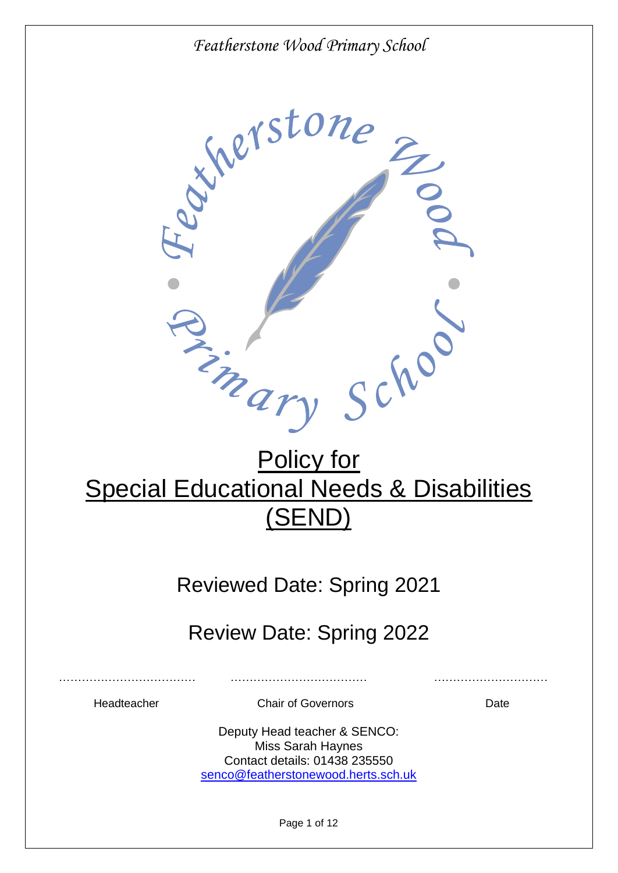

# Policy for Special Educational Needs & Disabilities (SEND)

## Reviewed Date: Spring 2021

## Review Date: Spring 2022

Headteacher Chair of Governors Date

……………………………… ……………………………… …………………………

Deputy Head teacher & SENCO: Miss Sarah Haynes Contact details: 01438 235550 [senco@featherstonewood.herts.sch.uk](mailto:senco@featherstonewood.herts.sch.uk)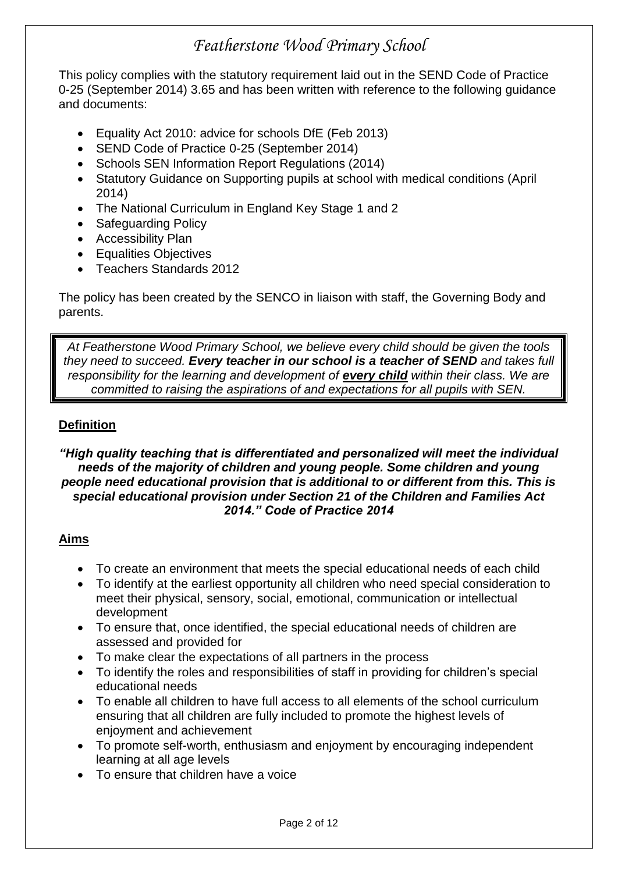This policy complies with the statutory requirement laid out in the SEND Code of Practice 0-25 (September 2014) 3.65 and has been written with reference to the following guidance and documents:

- Equality Act 2010: advice for schools DfE (Feb 2013)
- SEND Code of Practice 0-25 (September 2014)
- Schools SEN Information Report Regulations (2014)
- Statutory Guidance on Supporting pupils at school with medical conditions (April 2014)
- The National Curriculum in England Key Stage 1 and 2
- Safeguarding Policy
- Accessibility Plan
- Equalities Objectives
- Teachers Standards 2012

The policy has been created by the SENCO in liaison with staff, the Governing Body and parents.

*At Featherstone Wood Primary School, we believe every child should be given the tools they need to succeed. Every teacher in our school is a teacher of SEND and takes full responsibility for the learning and development of every child within their class. We are committed to raising the aspirations of and expectations for all pupils with SEN.*

#### **Definition**

#### *"High quality teaching that is differentiated and personalized will meet the individual needs of the majority of children and young people. Some children and young people need educational provision that is additional to or different from this. This is special educational provision under Section 21 of the Children and Families Act 2014." Code of Practice 2014*

#### **Aims**

- To create an environment that meets the special educational needs of each child
- To identify at the earliest opportunity all children who need special consideration to meet their physical, sensory, social, emotional, communication or intellectual development
- To ensure that, once identified, the special educational needs of children are assessed and provided for
- To make clear the expectations of all partners in the process
- To identify the roles and responsibilities of staff in providing for children's special educational needs
- To enable all children to have full access to all elements of the school curriculum ensuring that all children are fully included to promote the highest levels of enjoyment and achievement
- To promote self-worth, enthusiasm and enjoyment by encouraging independent learning at all age levels
- To ensure that children have a voice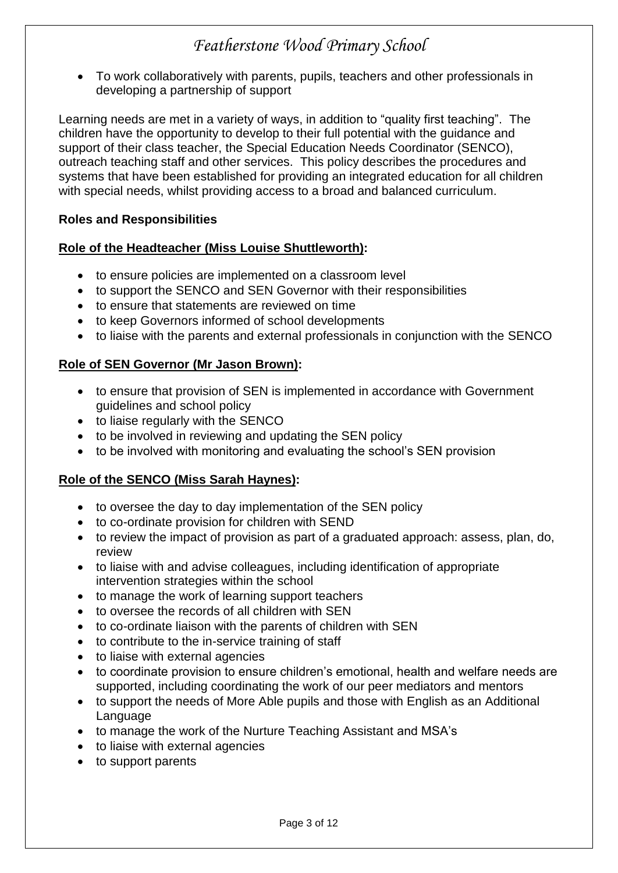To work collaboratively with parents, pupils, teachers and other professionals in developing a partnership of support

Learning needs are met in a variety of ways, in addition to "quality first teaching". The children have the opportunity to develop to their full potential with the guidance and support of their class teacher, the Special Education Needs Coordinator (SENCO), outreach teaching staff and other services. This policy describes the procedures and systems that have been established for providing an integrated education for all children with special needs, whilst providing access to a broad and balanced curriculum.

#### **Roles and Responsibilities**

#### **Role of the Headteacher (Miss Louise Shuttleworth):**

- to ensure policies are implemented on a classroom level
- to support the SENCO and SEN Governor with their responsibilities
- to ensure that statements are reviewed on time
- to keep Governors informed of school developments
- to liaise with the parents and external professionals in conjunction with the SENCO

#### **Role of SEN Governor (Mr Jason Brown):**

- to ensure that provision of SEN is implemented in accordance with Government guidelines and school policy
- to liaise regularly with the SENCO
- to be involved in reviewing and updating the SEN policy
- to be involved with monitoring and evaluating the school's SEN provision

#### **Role of the SENCO (Miss Sarah Haynes):**

- to oversee the day to day implementation of the SEN policy
- to co-ordinate provision for children with SEND
- to review the impact of provision as part of a graduated approach: assess, plan, do, review
- to liaise with and advise colleagues, including identification of appropriate intervention strategies within the school
- to manage the work of learning support teachers
- to oversee the records of all children with SEN
- to co-ordinate liaison with the parents of children with SEN
- to contribute to the in-service training of staff
- to liaise with external agencies
- to coordinate provision to ensure children's emotional, health and welfare needs are supported, including coordinating the work of our peer mediators and mentors
- to support the needs of More Able pupils and those with English as an Additional Language
- to manage the work of the Nurture Teaching Assistant and MSA's
- to liaise with external agencies
- to support parents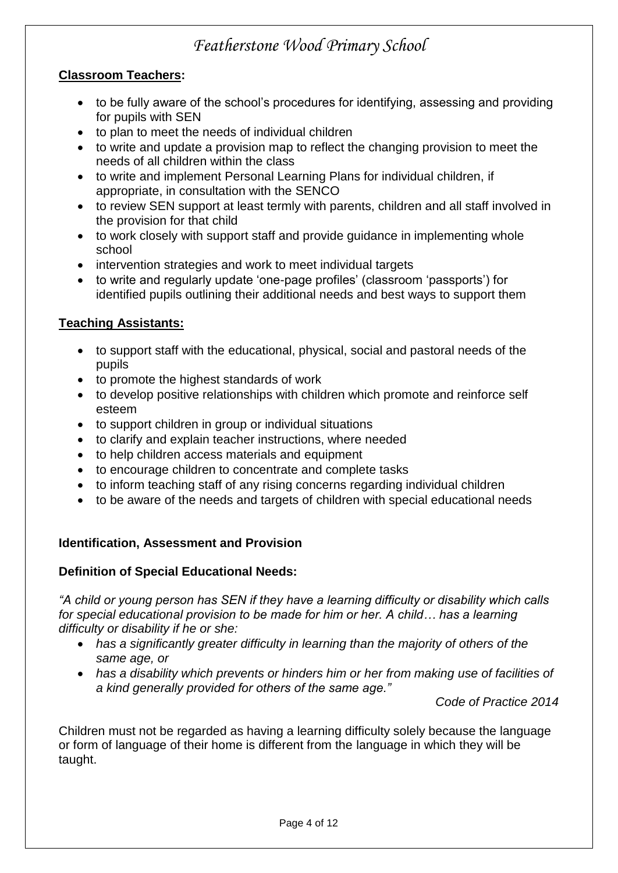#### **Classroom Teachers:**

- to be fully aware of the school's procedures for identifying, assessing and providing for pupils with SEN
- to plan to meet the needs of individual children
- to write and update a provision map to reflect the changing provision to meet the needs of all children within the class
- to write and implement Personal Learning Plans for individual children, if appropriate, in consultation with the SENCO
- to review SEN support at least termly with parents, children and all staff involved in the provision for that child
- to work closely with support staff and provide guidance in implementing whole school
- intervention strategies and work to meet individual targets
- to write and regularly update 'one-page profiles' (classroom 'passports') for identified pupils outlining their additional needs and best ways to support them

#### **Teaching Assistants:**

- to support staff with the educational, physical, social and pastoral needs of the pupils
- to promote the highest standards of work
- to develop positive relationships with children which promote and reinforce self esteem
- to support children in group or individual situations
- to clarify and explain teacher instructions, where needed
- to help children access materials and equipment
- to encourage children to concentrate and complete tasks
- to inform teaching staff of any rising concerns regarding individual children
- to be aware of the needs and targets of children with special educational needs

#### **Identification, Assessment and Provision**

#### **Definition of Special Educational Needs:**

*"A child or young person has SEN if they have a learning difficulty or disability which calls for special educational provision to be made for him or her. A child… has a learning difficulty or disability if he or she:*

- *has a significantly greater difficulty in learning than the majority of others of the same age, or*
- *has a disability which prevents or hinders him or her from making use of facilities of a kind generally provided for others of the same age."*

*Code of Practice 2014*

Children must not be regarded as having a learning difficulty solely because the language or form of language of their home is different from the language in which they will be taught.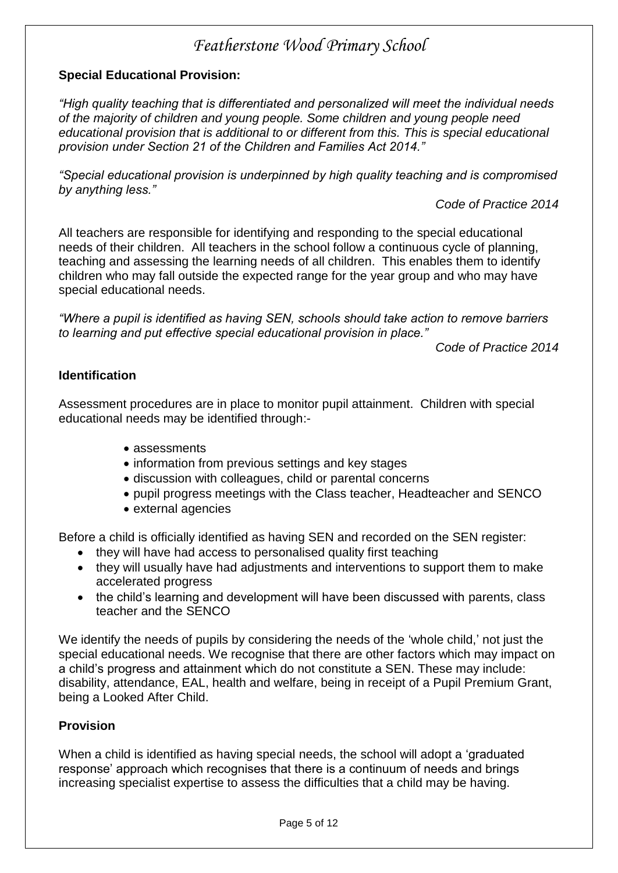#### **Special Educational Provision:**

*"High quality teaching that is differentiated and personalized will meet the individual needs of the majority of children and young people. Some children and young people need educational provision that is additional to or different from this. This is special educational provision under Section 21 of the Children and Families Act 2014."* 

*"Special educational provision is underpinned by high quality teaching and is compromised by anything less."*

*Code of Practice 2014*

All teachers are responsible for identifying and responding to the special educational needs of their children. All teachers in the school follow a continuous cycle of planning, teaching and assessing the learning needs of all children. This enables them to identify children who may fall outside the expected range for the year group and who may have special educational needs.

*"Where a pupil is identified as having SEN, schools should take action to remove barriers to learning and put effective special educational provision in place."* 

*Code of Practice 2014*

#### **Identification**

Assessment procedures are in place to monitor pupil attainment. Children with special educational needs may be identified through:-

- assessments
- information from previous settings and key stages
- discussion with colleagues, child or parental concerns
- pupil progress meetings with the Class teacher, Headteacher and SENCO
- external agencies

Before a child is officially identified as having SEN and recorded on the SEN register:

- they will have had access to personalised quality first teaching
- they will usually have had adjustments and interventions to support them to make accelerated progress
- the child's learning and development will have been discussed with parents, class teacher and the SENCO

We identify the needs of pupils by considering the needs of the 'whole child,' not just the special educational needs. We recognise that there are other factors which may impact on a child's progress and attainment which do not constitute a SEN. These may include: disability, attendance, EAL, health and welfare, being in receipt of a Pupil Premium Grant, being a Looked After Child.

#### **Provision**

When a child is identified as having special needs, the school will adopt a 'graduated response' approach which recognises that there is a continuum of needs and brings increasing specialist expertise to assess the difficulties that a child may be having.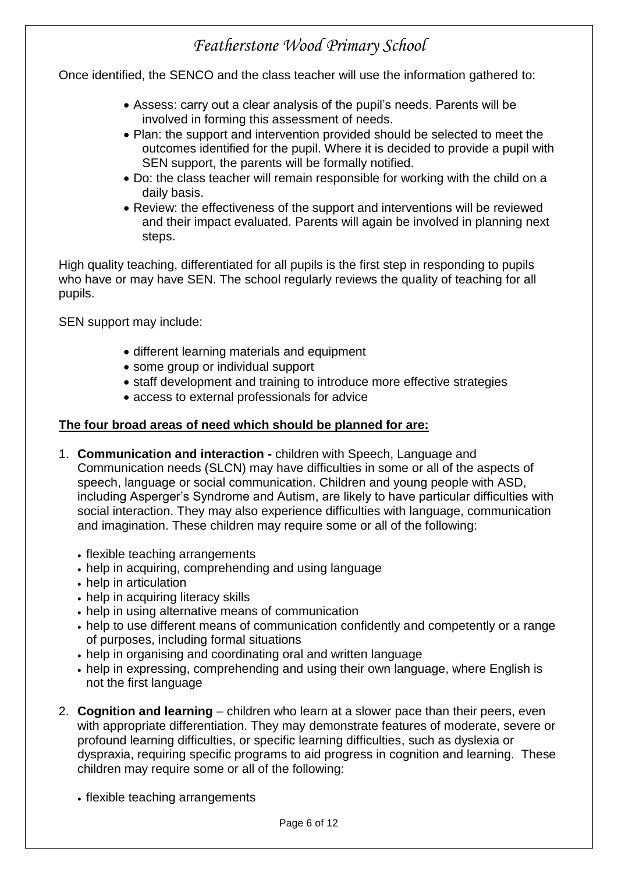Once identified, the SENCO and the class teacher will use the information gathered to:

- Assess: carry out a clear analysis of the pupil's needs. Parents will be involved in forming this assessment of needs.
- Plan: the support and intervention provided should be selected to meet the outcomes identified for the pupil. Where it is decided to provide a pupil with SEN support, the parents will be formally notified.
- Do: the class teacher will remain responsible for working with the child on a daily basis.
- Review: the effectiveness of the support and interventions will be reviewed and their impact evaluated. Parents will again be involved in planning next steps.

High quality teaching, differentiated for all pupils is the first step in responding to pupils who have or may have SEN. The school regularly reviews the quality of teaching for all pupils.

SEN support may include:

- different learning materials and equipment
- some group or individual support
- staff development and training to introduce more effective strategies
- access to external professionals for advice

#### **The four broad areas of need which should be planned for are:**

- 1. **Communication and interaction -** children with Speech, Language and Communication needs (SLCN) may have difficulties in some or all of the aspects of speech, language or social communication. Children and young people with ASD, including Asperger's Syndrome and Autism, are likely to have particular difficulties with social interaction. They may also experience difficulties with language, communication and imagination. These children may require some or all of the following:
	- flexible teaching arrangements
	- help in acquiring, comprehending and using language
	- help in articulation
	- help in acquiring literacy skills
	- help in using alternative means of communication
	- help to use different means of communication confidently and competently or a range of purposes, including formal situations
	- help in organising and coordinating oral and written language
	- help in expressing, comprehending and using their own language, where English is not the first language
- 2. **Cognition and learning** children who learn at a slower pace than their peers, even with appropriate differentiation. They may demonstrate features of moderate, severe or profound learning difficulties, or specific learning difficulties, such as dyslexia or dyspraxia, requiring specific programs to aid progress in cognition and learning. These children may require some or all of the following:
	- flexible teaching arrangements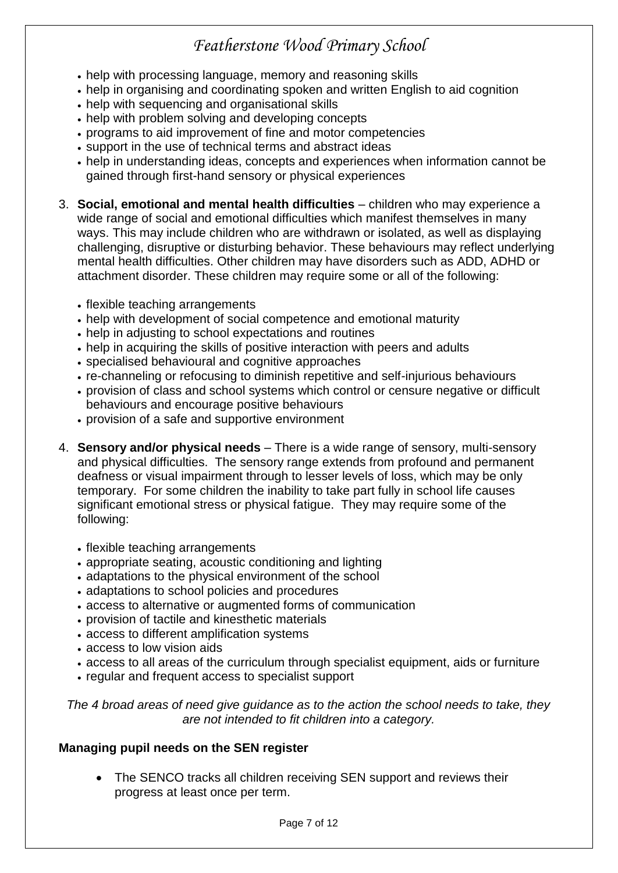- help with processing language, memory and reasoning skills
- help in organising and coordinating spoken and written English to aid cognition
- help with sequencing and organisational skills
- help with problem solving and developing concepts
- programs to aid improvement of fine and motor competencies
- support in the use of technical terms and abstract ideas
- help in understanding ideas, concepts and experiences when information cannot be gained through first-hand sensory or physical experiences
- 3. **Social, emotional and mental health difficulties** children who may experience a wide range of social and emotional difficulties which manifest themselves in many ways. This may include children who are withdrawn or isolated, as well as displaying challenging, disruptive or disturbing behavior. These behaviours may reflect underlying mental health difficulties. Other children may have disorders such as ADD, ADHD or attachment disorder. These children may require some or all of the following:
	- flexible teaching arrangements
	- help with development of social competence and emotional maturity
	- help in adjusting to school expectations and routines
	- help in acquiring the skills of positive interaction with peers and adults
	- specialised behavioural and cognitive approaches
	- re-channeling or refocusing to diminish repetitive and self-injurious behaviours
	- provision of class and school systems which control or censure negative or difficult behaviours and encourage positive behaviours
	- provision of a safe and supportive environment
- 4. **Sensory and/or physical needs** There is a wide range of sensory, multi-sensory and physical difficulties. The sensory range extends from profound and permanent deafness or visual impairment through to lesser levels of loss, which may be only temporary. For some children the inability to take part fully in school life causes significant emotional stress or physical fatigue. They may require some of the following:
	- flexible teaching arrangements
	- appropriate seating, acoustic conditioning and lighting
	- adaptations to the physical environment of the school
	- adaptations to school policies and procedures
	- access to alternative or augmented forms of communication
	- provision of tactile and kinesthetic materials
	- access to different amplification systems
	- access to low vision aids
	- access to all areas of the curriculum through specialist equipment, aids or furniture
	- regular and frequent access to specialist support

*The 4 broad areas of need give guidance as to the action the school needs to take, they are not intended to fit children into a category.*

#### **Managing pupil needs on the SEN register**

 The SENCO tracks all children receiving SEN support and reviews their progress at least once per term.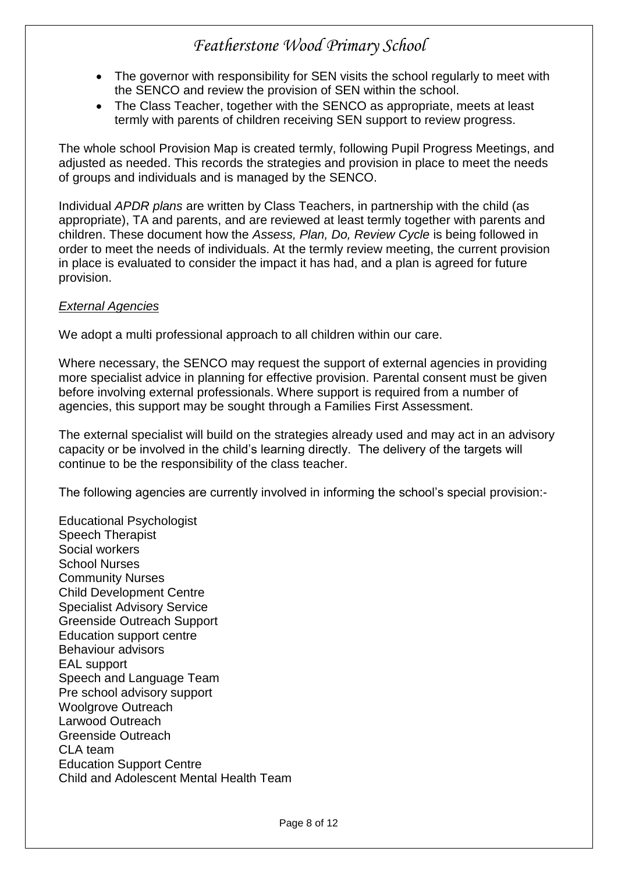- The governor with responsibility for SEN visits the school regularly to meet with the SENCO and review the provision of SEN within the school.
- The Class Teacher, together with the SENCO as appropriate, meets at least termly with parents of children receiving SEN support to review progress.

The whole school Provision Map is created termly, following Pupil Progress Meetings, and adjusted as needed. This records the strategies and provision in place to meet the needs of groups and individuals and is managed by the SENCO.

Individual *APDR plans* are written by Class Teachers, in partnership with the child (as appropriate), TA and parents, and are reviewed at least termly together with parents and children. These document how the *Assess, Plan, Do, Review Cycle* is being followed in order to meet the needs of individuals. At the termly review meeting, the current provision in place is evaluated to consider the impact it has had, and a plan is agreed for future provision.

#### *External Agencies*

We adopt a multi professional approach to all children within our care.

Where necessary, the SENCO may request the support of external agencies in providing more specialist advice in planning for effective provision. Parental consent must be given before involving external professionals. Where support is required from a number of agencies, this support may be sought through a Families First Assessment.

The external specialist will build on the strategies already used and may act in an advisory capacity or be involved in the child's learning directly. The delivery of the targets will continue to be the responsibility of the class teacher.

The following agencies are currently involved in informing the school's special provision:-

Educational Psychologist Speech Therapist Social workers School Nurses Community Nurses Child Development Centre Specialist Advisory Service Greenside Outreach Support Education support centre Behaviour advisors EAL support Speech and Language Team Pre school advisory support Woolgrove Outreach Larwood Outreach Greenside Outreach CLA team Education Support Centre Child and Adolescent Mental Health Team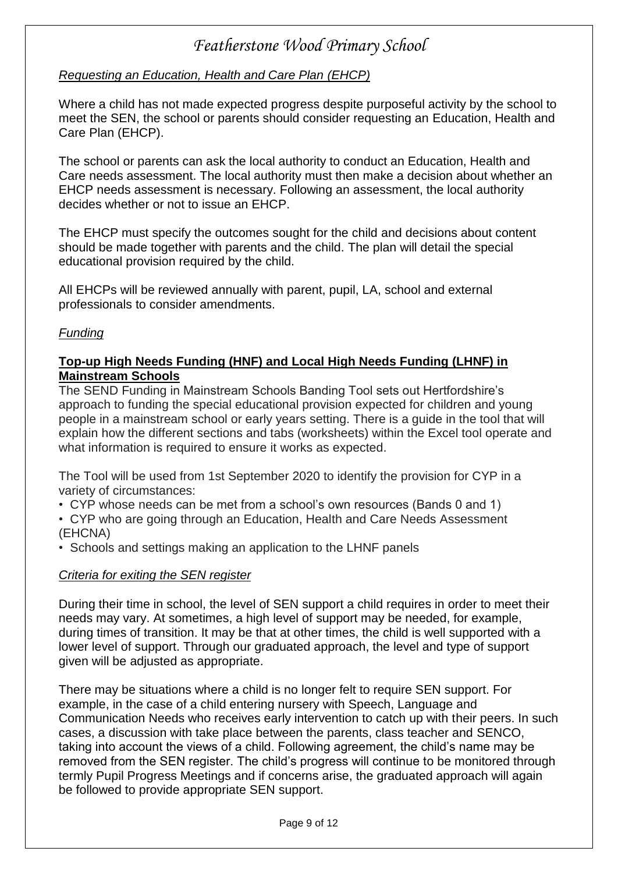#### *Requesting an Education, Health and Care Plan (EHCP)*

Where a child has not made expected progress despite purposeful activity by the school to meet the SEN, the school or parents should consider requesting an Education, Health and Care Plan (EHCP).

The school or parents can ask the local authority to conduct an Education, Health and Care needs assessment. The local authority must then make a decision about whether an EHCP needs assessment is necessary. Following an assessment, the local authority decides whether or not to issue an EHCP.

The EHCP must specify the outcomes sought for the child and decisions about content should be made together with parents and the child. The plan will detail the special educational provision required by the child.

All EHCPs will be reviewed annually with parent, pupil, LA, school and external professionals to consider amendments.

#### *Funding*

#### **Top-up High Needs Funding (HNF) and Local High Needs Funding (LHNF) in Mainstream Schools**

The SEND Funding in Mainstream Schools Banding Tool sets out Hertfordshire's approach to funding the special educational provision expected for children and young people in a mainstream school or early years setting. There is a guide in the tool that will explain how the different sections and tabs (worksheets) within the Excel tool operate and what information is required to ensure it works as expected.

The Tool will be used from 1st September 2020 to identify the provision for CYP in a variety of circumstances:

• CYP whose needs can be met from a school's own resources (Bands 0 and 1)

• CYP who are going through an Education, Health and Care Needs Assessment (EHCNA)

• Schools and settings making an application to the LHNF panels

#### *Criteria for exiting the SEN register*

During their time in school, the level of SEN support a child requires in order to meet their needs may vary. At sometimes, a high level of support may be needed, for example, during times of transition. It may be that at other times, the child is well supported with a lower level of support. Through our graduated approach, the level and type of support given will be adjusted as appropriate.

There may be situations where a child is no longer felt to require SEN support. For example, in the case of a child entering nursery with Speech, Language and Communication Needs who receives early intervention to catch up with their peers. In such cases, a discussion with take place between the parents, class teacher and SENCO, taking into account the views of a child. Following agreement, the child's name may be removed from the SEN register. The child's progress will continue to be monitored through termly Pupil Progress Meetings and if concerns arise, the graduated approach will again be followed to provide appropriate SEN support.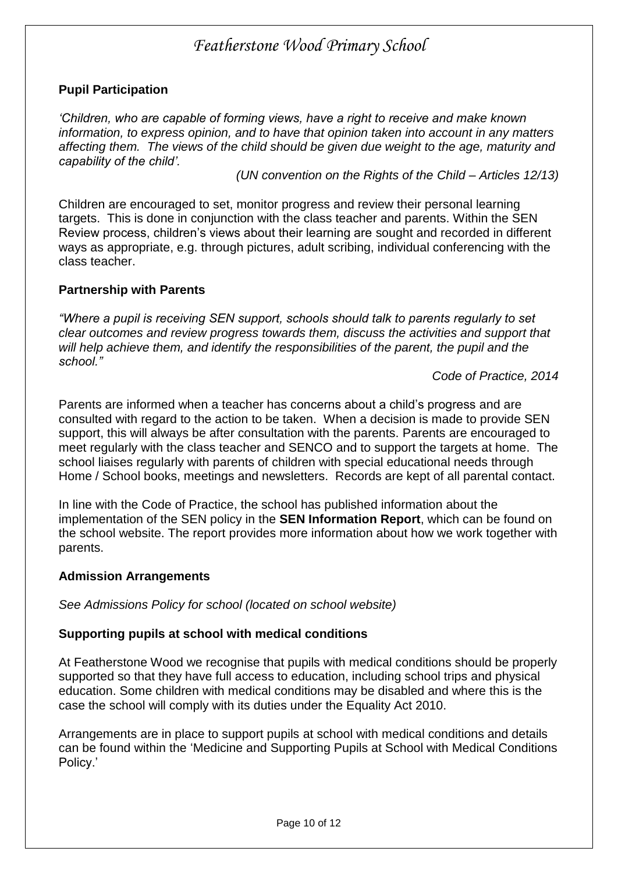#### **Pupil Participation**

*'Children, who are capable of forming views, have a right to receive and make known information, to express opinion, and to have that opinion taken into account in any matters affecting them. The views of the child should be given due weight to the age, maturity and capability of the child'.*

*(UN convention on the Rights of the Child – Articles 12/13)*

Children are encouraged to set, monitor progress and review their personal learning targets. This is done in conjunction with the class teacher and parents. Within the SEN Review process, children's views about their learning are sought and recorded in different ways as appropriate, e.g. through pictures, adult scribing, individual conferencing with the class teacher.

#### **Partnership with Parents**

*"Where a pupil is receiving SEN support, schools should talk to parents regularly to set clear outcomes and review progress towards them, discuss the activities and support that*  will help achieve them, and identify the responsibilities of the parent, the pupil and the *school."* 

*Code of Practice, 2014*

Parents are informed when a teacher has concerns about a child's progress and are consulted with regard to the action to be taken. When a decision is made to provide SEN support, this will always be after consultation with the parents. Parents are encouraged to meet regularly with the class teacher and SENCO and to support the targets at home. The school liaises regularly with parents of children with special educational needs through Home / School books, meetings and newsletters. Records are kept of all parental contact.

In line with the Code of Practice, the school has published information about the implementation of the SEN policy in the **SEN Information Report**, which can be found on the school website. The report provides more information about how we work together with parents.

#### **Admission Arrangements**

*See Admissions Policy for school (located on school website)*

#### **Supporting pupils at school with medical conditions**

At Featherstone Wood we recognise that pupils with medical conditions should be properly supported so that they have full access to education, including school trips and physical education. Some children with medical conditions may be disabled and where this is the case the school will comply with its duties under the Equality Act 2010.

Arrangements are in place to support pupils at school with medical conditions and details can be found within the 'Medicine and Supporting Pupils at School with Medical Conditions Policy.'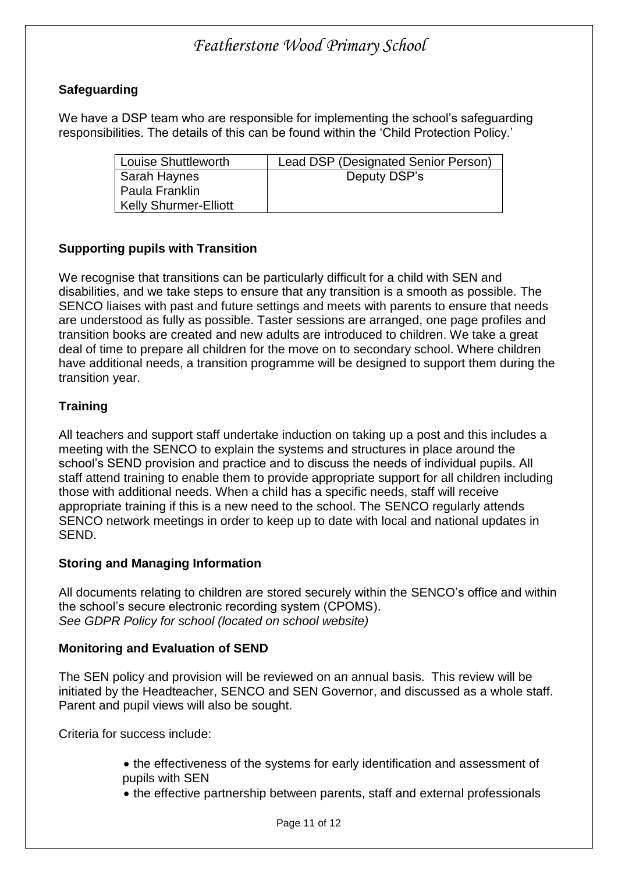#### **Safeguarding**

We have a DSP team who are responsible for implementing the school's safeguarding responsibilities. The details of this can be found within the 'Child Protection Policy.'

| <b>Louise Shuttleworth</b>   | Lead DSP (Designated Senior Person) |
|------------------------------|-------------------------------------|
| Sarah Haynes                 | Deputy DSP's                        |
| Paula Franklin               |                                     |
| <b>Kelly Shurmer-Elliott</b> |                                     |

#### **Supporting pupils with Transition**

We recognise that transitions can be particularly difficult for a child with SEN and disabilities, and we take steps to ensure that any transition is a smooth as possible. The SENCO liaises with past and future settings and meets with parents to ensure that needs are understood as fully as possible. Taster sessions are arranged, one page profiles and transition books are created and new adults are introduced to children. We take a great deal of time to prepare all children for the move on to secondary school. Where children have additional needs, a transition programme will be designed to support them during the transition year.

#### **Training**

All teachers and support staff undertake induction on taking up a post and this includes a meeting with the SENCO to explain the systems and structures in place around the school's SEND provision and practice and to discuss the needs of individual pupils. All staff attend training to enable them to provide appropriate support for all children including those with additional needs. When a child has a specific needs, staff will receive appropriate training if this is a new need to the school. The SENCO regularly attends SENCO network meetings in order to keep up to date with local and national updates in SEND.

#### **Storing and Managing Information**

All documents relating to children are stored securely within the SENCO's office and within the school's secure electronic recording system (CPOMS). *See GDPR Policy for school (located on school website)*

#### **Monitoring and Evaluation of SEND**

The SEN policy and provision will be reviewed on an annual basis. This review will be initiated by the Headteacher, SENCO and SEN Governor, and discussed as a whole staff. Parent and pupil views will also be sought.

Criteria for success include:

- the effectiveness of the systems for early identification and assessment of pupils with SEN
- the effective partnership between parents, staff and external professionals